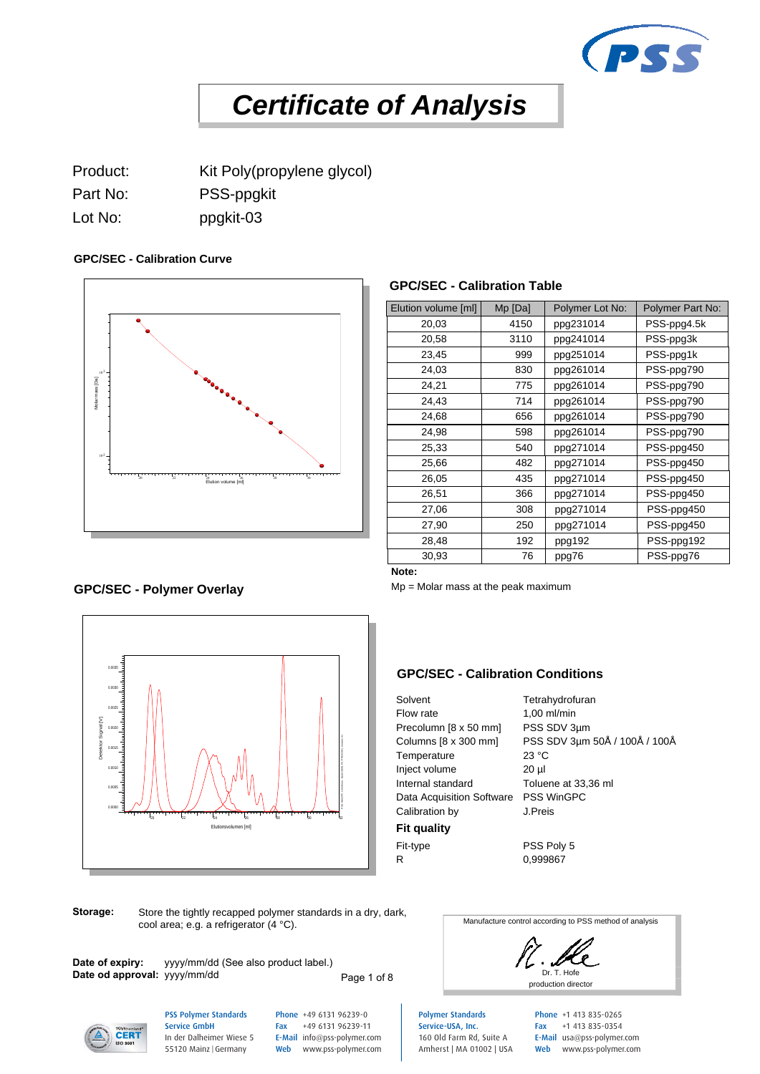

# *Certificate of Analysis*  **Certificate of Analysis**<br>
Product:<br>
Part No:<br>
Part No:<br>
PSS-ppgkit<br>
Lot No:<br>
PSS-ppgkit<br>
Corcalibration Curve<br>
GPC/SEC - Calibration Curve<br>
GPC/SEC - Calibration Curve

Lot No: ppgkit-03

## **GPC/SEC - Calibration Curve**



## **GPC/SEC - Calibration Table**

|                                         |         |          |                               | <b>CPSS</b>      |
|-----------------------------------------|---------|----------|-------------------------------|------------------|
| of Analysis                             |         |          |                               |                  |
|                                         |         |          |                               |                  |
|                                         |         |          |                               |                  |
|                                         |         |          |                               |                  |
|                                         |         |          |                               |                  |
|                                         |         |          |                               |                  |
|                                         |         |          |                               |                  |
|                                         |         |          |                               |                  |
|                                         |         |          |                               |                  |
|                                         |         |          |                               |                  |
| <b>GPC/SEC - Calibration Table</b>      |         |          |                               |                  |
|                                         |         |          |                               |                  |
| Elution volume [ml]                     | Mp [Da] |          | Polymer Lot No:               | Polymer Part No: |
| 20,03                                   | 4150    |          | ppg231014                     | PSS-ppg4.5k      |
| 20,58                                   | 3110    |          | ppg241014                     | PSS-ppg3k        |
| 23,45                                   |         | 999      | ppg251014                     | PSS-ppg1k        |
| 24,03                                   |         | 830      | ppg261014                     | PSS-ppg790       |
| 24,21                                   |         | 775      | ppg261014                     | PSS-ppg790       |
| 24,43                                   |         | 714      | ppg261014                     | PSS-ppg790       |
| 24,68                                   |         | 656      | ppg261014                     | PSS-ppg790       |
| 24,98                                   |         | 598      | ppg261014                     | PSS-ppg790       |
| 25,33                                   |         | 540      | ppg271014                     | PSS-ppg450       |
| 25,66                                   |         | 482      | ppg271014                     | PSS-ppg450       |
| 26,05                                   |         | 435      | ppg271014                     | PSS-ppg450       |
| 26,51                                   |         | 366      | ppg271014                     | PSS-ppg450       |
| 27,06                                   |         | 308      | ppg271014                     | PSS-ppg450       |
| 27,90                                   |         | 250      | ppg271014                     | PSS-ppg450       |
| 28,48                                   |         | 192      | ppg192                        | PSS-ppg192       |
| 30,93                                   |         | 76       | ppg76                         | PSS-ppg76        |
| Note:                                   |         |          |                               |                  |
| $Mp = Molar$ mass at the peak maximum   |         |          |                               |                  |
|                                         |         |          |                               |                  |
|                                         |         |          |                               |                  |
|                                         |         |          |                               |                  |
|                                         |         |          |                               |                  |
|                                         |         |          |                               |                  |
| <b>GPC/SEC - Calibration Conditions</b> |         |          |                               |                  |
| Solvent                                 |         |          | Tetrahydrofuran               |                  |
| Flow rate                               |         |          | 1,00 ml/min                   |                  |
| Precolumn [8 x 50 mm]                   |         |          | PSS SDV 3µm                   |                  |
| Columns [8 x 300 mm]                    |         |          | PSS SDV 3µm 50Å / 100Å / 100Å |                  |
| Temperature                             |         | 23 °C    |                               |                  |
| Inject volume                           |         | $20 \mu$ |                               |                  |
| Internal standard                       |         |          | Toluene at 33,36 ml           |                  |
| Data Acquisition Software PSS WinGPC    |         |          |                               |                  |
| Calibration by                          |         | J.Preis  |                               |                  |
|                                         |         |          |                               |                  |

#### **GPC/SEC - Calibration Conditions**

Solvent Tetrahydrofuran Flow rate 1,00 ml/min Temperature 23 °C Inject volume 20 µl 27,06 308 ppg271014 PSS-ppg<br>
27,00 250 ppg271014 PSS-ppg<br>
28,48 30,93 76 ppg192 PSS-ppg<br>
192 ppg192 PSS-ppg<br>
192 ppg192 PSS-ppg<br>
192 ppg192 PSS-ppg<br>
100<br>
100:<br>
100:<br>
100:<br>
100:<br>
100:<br>
100:<br>
100:<br>
100:<br>
100:<br>
100:<br>
100:<br>
1 27,90 250 ppg271014 PSS-ppg450<br>
28,48 192 ppg192 PSS-ppg192<br>
30,93 76 ppg76 PSS-ppg192<br> **lote:**<br>
Mp = Molar mass at the peak maximum<br>
Mp = Molar mass at the peak maximum<br>
Experience 1,00 ml/min<br>
Precolumn [8 x 50 mm] PSS Calibration by J.Preis **Fit quality** Fit-type PSS Poly 5 R 0,999867

**Storage:** Store the tightly recapped polymer standards in a dry, dark, cool area; e.g. a refrigerator (4 °C).

**Date od approval:** yyyy/mm/dd

**Date of expiry:** yyyy/mm/dd (See also product label.)

Page 1 of 8

Manufacture control according to PSS method of analysis

Dr. T. Hofe production director

Polymer Standards Service-USA, Inc. 160 Old Farm Rd, Suite A Amherst | MA 01002 | USA Phone +1 413 835-0265 Fax +1 413 835-0354 E-Mail usa@pss-polymer.com Web www.pss-polymer.com

0.0030 0.0035

**GPC/SEC - Polymer Overlay**





PSS Polymer Standards Service GmbH In der Dalheimer Wiese 5 55120 Mainz |Germany

Phone +49 6131 96239-0 Fax +49 6131 96239-11 E-Mail info@pss-polymer.com Web www.pss-polymer.com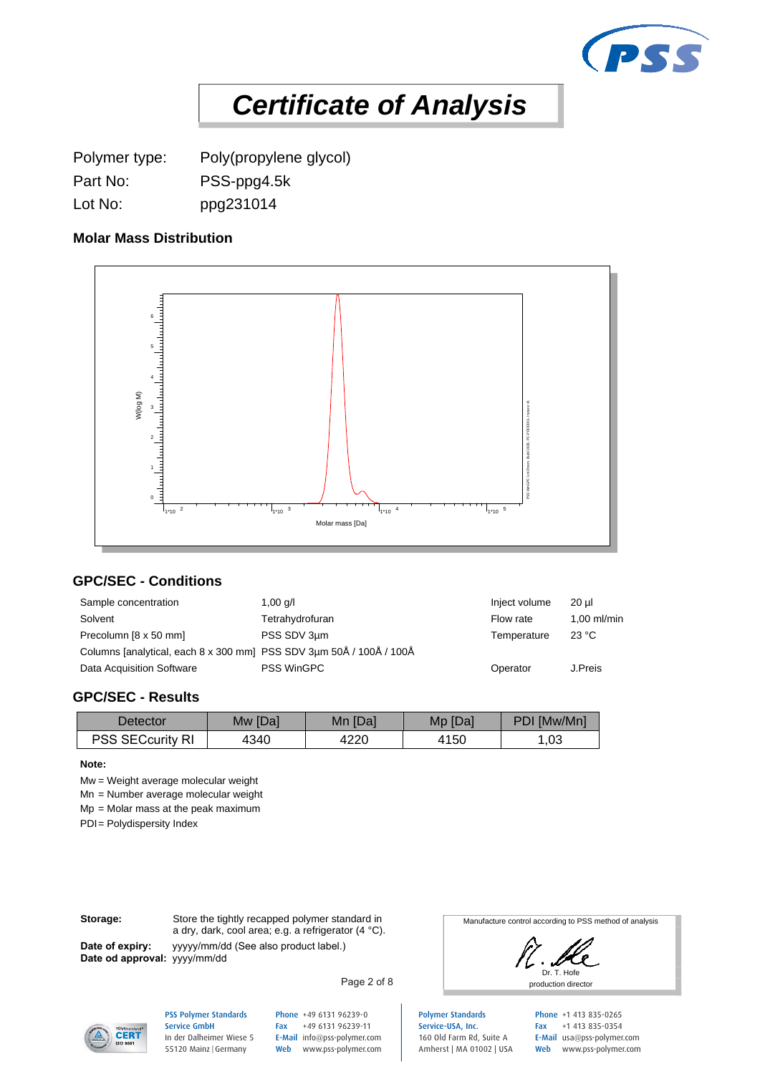

**Certificate of Analysis**<br>Polymer type: Poly(propylene glycol)<br>Part No: PSS-ppg4.5k<br>Lot No: ppg231014<br>Molar Mass Distribution Lot No: ppg231014

## **Molar Mass Distribution**



## **GPC/SEC - Conditions**

|                                                                                                                                                               |                   | Molar mass [Da] |         |             |             |  |
|---------------------------------------------------------------------------------------------------------------------------------------------------------------|-------------------|-----------------|---------|-------------|-------------|--|
| <b>GPC/SEC - Conditions</b>                                                                                                                                   |                   |                 |         |             |             |  |
| Sample concentration                                                                                                                                          | Inject volume     | $20 \mu$        |         |             |             |  |
| Solvent                                                                                                                                                       | Tetrahydrofuran   |                 |         | Flow rate   | 1,00 ml/mir |  |
| Precolumn [8 x 50 mm]                                                                                                                                         | PSS SDV 3µm       | Temperature     | 23 °C   |             |             |  |
| Columns [analytical, each 8 x 300 mm] PSS SDV 3µm 50Å / 100Å / 100Å                                                                                           |                   |                 |         |             |             |  |
| Data Acquisition Software                                                                                                                                     | <b>PSS WinGPC</b> |                 |         |             |             |  |
| <b>GPC/SEC - Results</b><br><b>Detector</b>                                                                                                                   | Mw [Da]           | Mn [Da]         | Mp [Da] | PDI [Mw/Mn] |             |  |
| <b>PSS SECcurity RI</b>                                                                                                                                       | 4340              | 4220            | 4150    | 1,03        |             |  |
| Note:<br>$Mw = Weight average molecular weight$<br>Mn = Number average molecular weight<br>$Mp = Molar$ mass at the peak maximum<br>PDI= Polydispersity Index |                   |                 |         |             |             |  |

#### **GPC/SEC - Results**

| <b>Detector</b>           | Mw [Da] | Mn<br>ı [Da] | Mp [Da] | PDI [Mw/Mn] |
|---------------------------|---------|--------------|---------|-------------|
| <b>PSS SECcurity</b><br>R | 4340    | 4220         | 4150    | ,03         |

#### **Note:**

**Date of expiry:**

**Storage:** Store the tightly recapped polymer standard in a dry, dark, cool area; e.g. a refrigerator (4 °C). yyyyy/mm/dd (See also product label.) **Date od approval:** yyyy/mm/dd

Manufacture control according to PSS method of analysis

Dr. T. Hofe production director

Polymer Standards Service-USA, Inc. 160 Old Farm Rd, Suite A Amherst | MA 01002 | USA Phone +1 413 835-0265 Fax +1 413 835-0354 E-Mail usa@pss-polymer.com Web www.pss-polymer.com



PSS Polymer Standards Service GmbH

In der Dalheimer Wiese 5 55120 Mainz |Germany

Phone +49 6131 96239-0 Fax +49 6131 96239-11 E-Mail info@pss-polymer.com Web www.pss-polymer.com

Page 2 of 8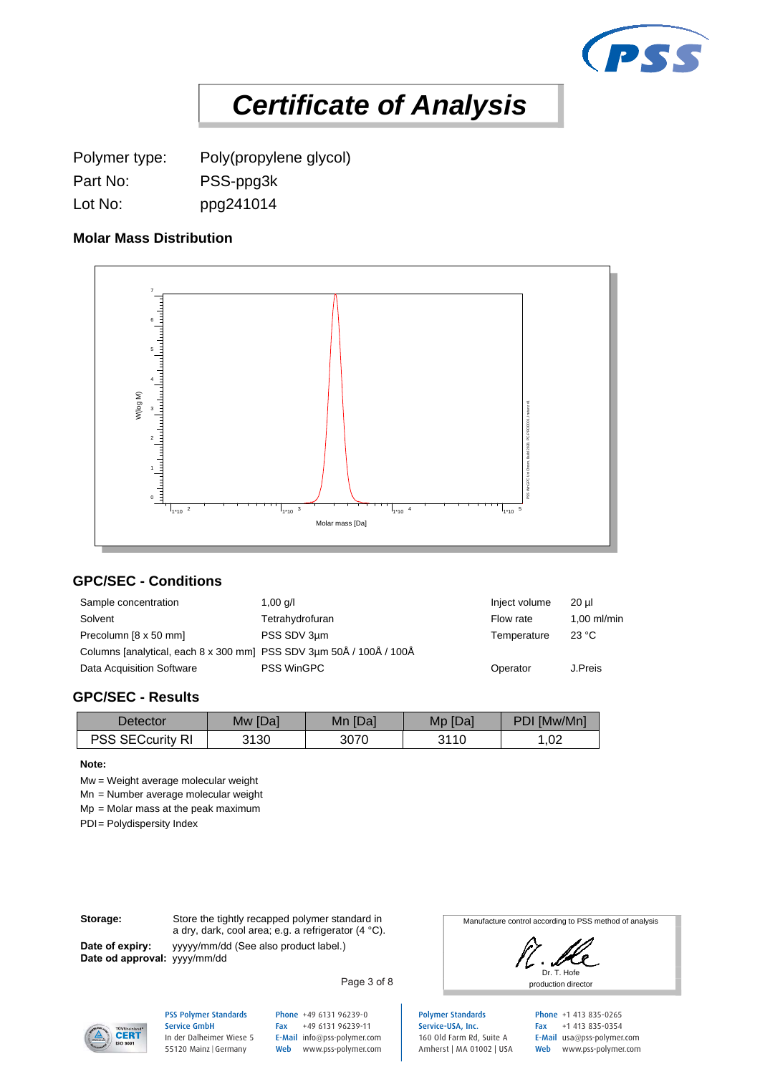

**Certificate of Analysis**<br>Polymer type: Poly(propylene glycol)<br>Part No: PSS-ppg3k<br>Lot No: ppg241014<br>Molar Mass Distribution Lot No: ppg241014

#### **Molar Mass Distribution**



## **GPC/SEC - Conditions**

|                                                                                                                                                               |                   | Molar mass [Da] |         |             |             |  |
|---------------------------------------------------------------------------------------------------------------------------------------------------------------|-------------------|-----------------|---------|-------------|-------------|--|
| <b>GPC/SEC - Conditions</b>                                                                                                                                   |                   |                 |         |             |             |  |
| Sample concentration                                                                                                                                          | Inject volume     | $20 \mu$        |         |             |             |  |
| Solvent                                                                                                                                                       | Tetrahydrofuran   |                 |         | Flow rate   | 1,00 ml/mir |  |
| Precolumn [8 x 50 mm]                                                                                                                                         | PSS SDV 3µm       |                 |         |             |             |  |
| Columns [analytical, each 8 x 300 mm] PSS SDV 3µm 50Å / 100Å / 100Å                                                                                           |                   |                 |         |             |             |  |
| Data Acquisition Software                                                                                                                                     | <b>PSS WinGPC</b> |                 |         |             |             |  |
| <b>GPC/SEC - Results</b><br><b>Detector</b>                                                                                                                   | Mw [Da]           | Mn [Da]         | Mp [Da] | PDI [Mw/Mn] |             |  |
| PSS SECcurity RI                                                                                                                                              | 3130              | 3070            | 3110    | 1,02        |             |  |
| Note:<br>$Mw = Weight average molecular weight$<br>Mn = Number average molecular weight<br>$Mp = Molar$ mass at the peak maximum<br>PDI= Polydispersity Index |                   |                 |         |             |             |  |

#### **GPC/SEC - Results**

| <b>Detector</b>                        | Mw [Da] | ı [Da]<br>Mn | [Da]<br>Mp | PDI [Mw/Mn] |
|----------------------------------------|---------|--------------|------------|-------------|
| <b>PSS SECcurity</b><br>R <sub>l</sub> | 3130    | 3070         | 3110       | ,02         |

#### **Note:**

**Date of expiry:**

**Storage:** Store the tightly recapped polymer standard in a dry, dark, cool area; e.g. a refrigerator (4 °C). yyyyy/mm/dd (See also product label.) **Date od approval:** yyyy/mm/dd

Manufacture control according to PSS method of analysis

Dr. T. Hofe production director

Polymer Standards Service-USA, Inc. 160 Old Farm Rd, Suite A Amherst | MA 01002 | USA Phone +1 413 835-0265 Fax +1 413 835-0354 E-Mail usa@pss-polymer.com Web www.pss-polymer.com



PSS Polymer Standards Service GmbH In der Dalheimer Wiese 5 55120 Mainz |Germany

Phone +49 6131 96239-0 Fax +49 6131 96239-11 E-Mail info@pss-polymer.com Web www.pss-polymer.com

Page 3 of 8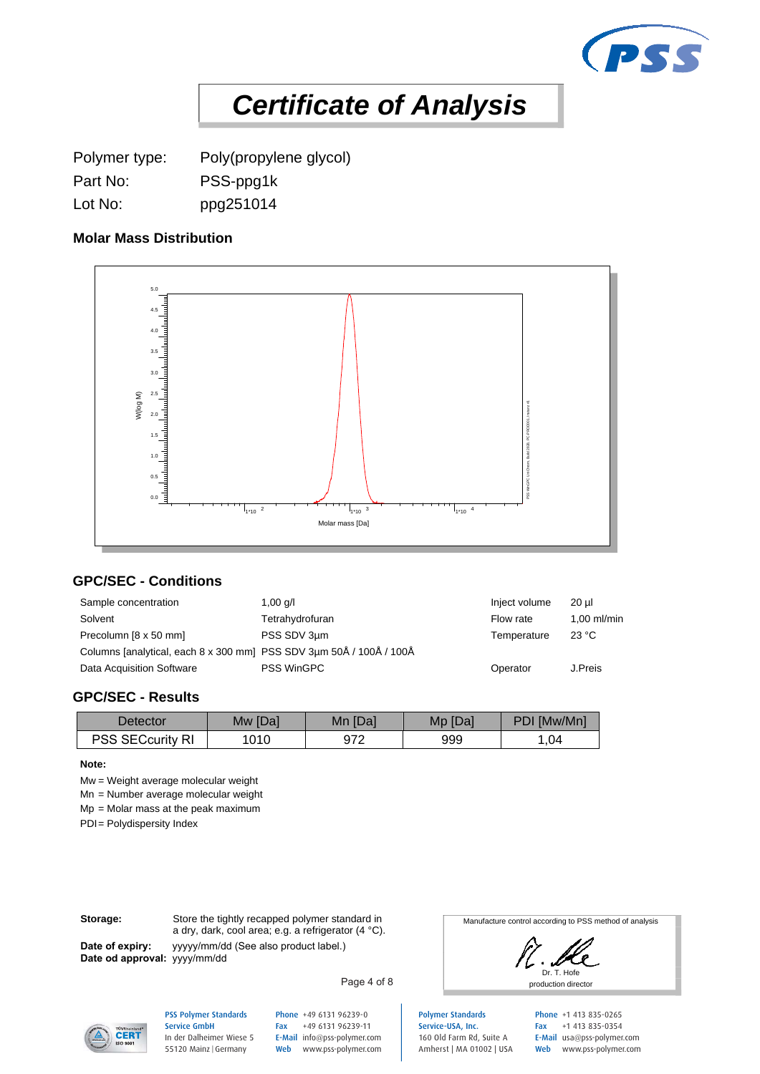

**Certificate of Analysis**<br>Polymer type: Poly(propylene glycol)<br>Part No: PSS-ppg1k<br>Lot No: ppg251014<br>Molar Mass Distribution Lot No: ppg251014

#### **Molar Mass Distribution**



## **GPC/SEC - Conditions**

|                                                                                                                                  | $\frac{1}{1110}$ 2 | $\begin{array}{ccc} &   &   &   &   \end{array}$ $\begin{array}{ccc}   &   &   &   \end{array}$<br>Molar mass [Da] | $\frac{1}{100}$ $\frac{1}{100}$ $\frac{1}{100}$ $\frac{4}{100}$ |             |               |  |
|----------------------------------------------------------------------------------------------------------------------------------|--------------------|--------------------------------------------------------------------------------------------------------------------|-----------------------------------------------------------------|-------------|---------------|--|
| <b>GPC/SEC - Conditions</b>                                                                                                      |                    |                                                                                                                    |                                                                 |             |               |  |
| Sample concentration                                                                                                             | Inject volume      | $20 \mu$                                                                                                           |                                                                 |             |               |  |
| Solvent                                                                                                                          | Tetrahydrofuran    |                                                                                                                    |                                                                 | Flow rate   | $1,00$ ml/mir |  |
| Precolumn [8 x 50 mm]                                                                                                            | PSS SDV 3µm        |                                                                                                                    |                                                                 |             |               |  |
| Columns [analytical, each 8 x 300 mm] PSS SDV 3µm 50Å / 100Å / 100Å                                                              |                    |                                                                                                                    |                                                                 |             |               |  |
| Data Acquisition Software                                                                                                        |                    | Operator                                                                                                           | J.Preis                                                         |             |               |  |
| <b>GPC/SEC - Results</b><br><b>Detector</b>                                                                                      | Mw [Da]            | Mn [Da]                                                                                                            | Mp [Da]                                                         | PDI [Mw/Mn] |               |  |
| PSS SECcurity RI                                                                                                                 | 1010               | 972                                                                                                                | 999                                                             | 1,04        |               |  |
| Note:<br>$Mw = Weight average molecular weight$<br>Mn = Number average molecular weight<br>$Mp = Molar$ mass at the peak maximum |                    |                                                                                                                    |                                                                 |             |               |  |
| PDI= Polydispersity Index                                                                                                        |                    |                                                                                                                    |                                                                 |             |               |  |

#### **GPC/SEC - Results**

| <b>Detector</b>           | Mw [Da] | Mn<br>ı [Da] | [Da]<br>Mp. | PDI [Mw/Mn] |
|---------------------------|---------|--------------|-------------|-------------|
| <b>PSS SECcurity</b><br>R | 1010    | 972          | 999         | .04         |

#### **Note:**

**Date of expiry:**

**Storage:** Store the tightly recapped polymer standard in a dry, dark, cool area; e.g. a refrigerator (4 °C). yyyyy/mm/dd (See also product label.) **Date od approval:** yyyy/mm/dd

Manufacture control according to PSS method of analysis

Dr. T. Hofe production director

Polymer Standards Service-USA, Inc. 160 Old Farm Rd, Suite A Amherst | MA 01002 | USA Phone +1 413 835-0265 Fax +1 413 835-0354 E-Mail usa@pss-polymer.com Web www.pss-polymer.com



PSS Polymer Standards Service GmbH In der Dalheimer Wiese 5 55120 Mainz |Germany

Phone +49 6131 96239-0 Fax +49 6131 96239-11 E-Mail info@pss-polymer.com Web www.pss-polymer.com

Page 4 of 8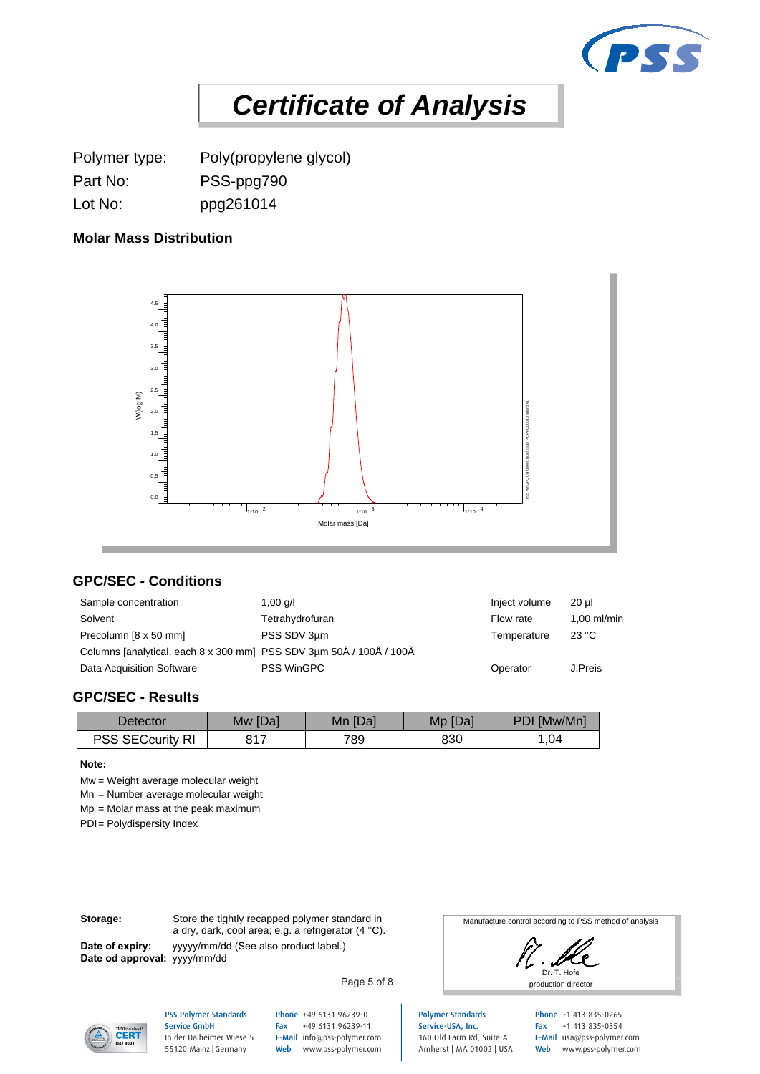

**Certificate of Analysis**<br>Polymer type: Poly(propylene glycol)<br>Part No: PSS-ppg790<br>Lot No: ppg261014<br>Molar Mass Distribution Lot No: ppg261014

## **Molar Mass Distribution**



## **GPC/SEC - Conditions**

|                                                                                                                                                               |                 | Molar mass [Da] |         |             |  |  |
|---------------------------------------------------------------------------------------------------------------------------------------------------------------|-----------------|-----------------|---------|-------------|--|--|
| <b>GPC/SEC - Conditions</b>                                                                                                                                   |                 |                 |         |             |  |  |
| Sample concentration                                                                                                                                          | Inject volume   | $20 \mu$        |         |             |  |  |
| Solvent                                                                                                                                                       | Tetrahydrofuran |                 |         |             |  |  |
| Precolumn [8 x 50 mm]                                                                                                                                         | PSS SDV 3µm     |                 |         |             |  |  |
| Columns [analytical, each 8 x 300 mm] PSS SDV 3µm 50Å / 100Å / 100Å                                                                                           |                 |                 |         |             |  |  |
| Data Acquisition Software                                                                                                                                     | Operator        | J.Preis         |         |             |  |  |
| <b>GPC/SEC - Results</b><br><b>Detector</b>                                                                                                                   | Mw [Da]         | Mn [Da]         | Mp [Da] | PDI [Mw/Mn] |  |  |
| <b>PSS SECcurity RI</b>                                                                                                                                       | 817             | 789             | 830     | 1,04        |  |  |
| Note:<br>$Mw = Weight average molecular weight$<br>Mn = Number average molecular weight<br>$Mp = Molar$ mass at the peak maximum<br>PDI= Polydispersity Index |                 |                 |         |             |  |  |

#### **GPC/SEC - Results**

| Detector            | Mw [Da]               | Mn [Da] | Mp [Da] | PDI [Mw/Mn] |
|---------------------|-----------------------|---------|---------|-------------|
| PSS<br>SECcurity RI | 047<br>O <sub>1</sub> | 789     | 830     | .04         |

#### **Note:**

**Date of expiry:**

**Storage:** Store the tightly recapped polymer standard in a dry, dark, cool area; e.g. a refrigerator (4 °C). yyyyy/mm/dd (See also product label.) **Date od approval:** yyyy/mm/dd

Manufacture control according to PSS method of analysis

Dr. T. Hofe production director

Polymer Standards Service-USA, Inc. 160 Old Farm Rd, Suite A Amherst | MA 01002 | USA Phone +1 413 835-0265 Fax +1 413 835-0354 E-Mail usa@pss-polymer.com Web www.pss-polymer.com



#### PSS Polymer Standards Service GmbH In der Dalheimer Wiese 5 55120 Mainz |Germany

Phone +49 6131 96239-0 Fax +49 6131 96239-11 E-Mail info@pss-polymer.com Web www.pss-polymer.com

Page 5 of 8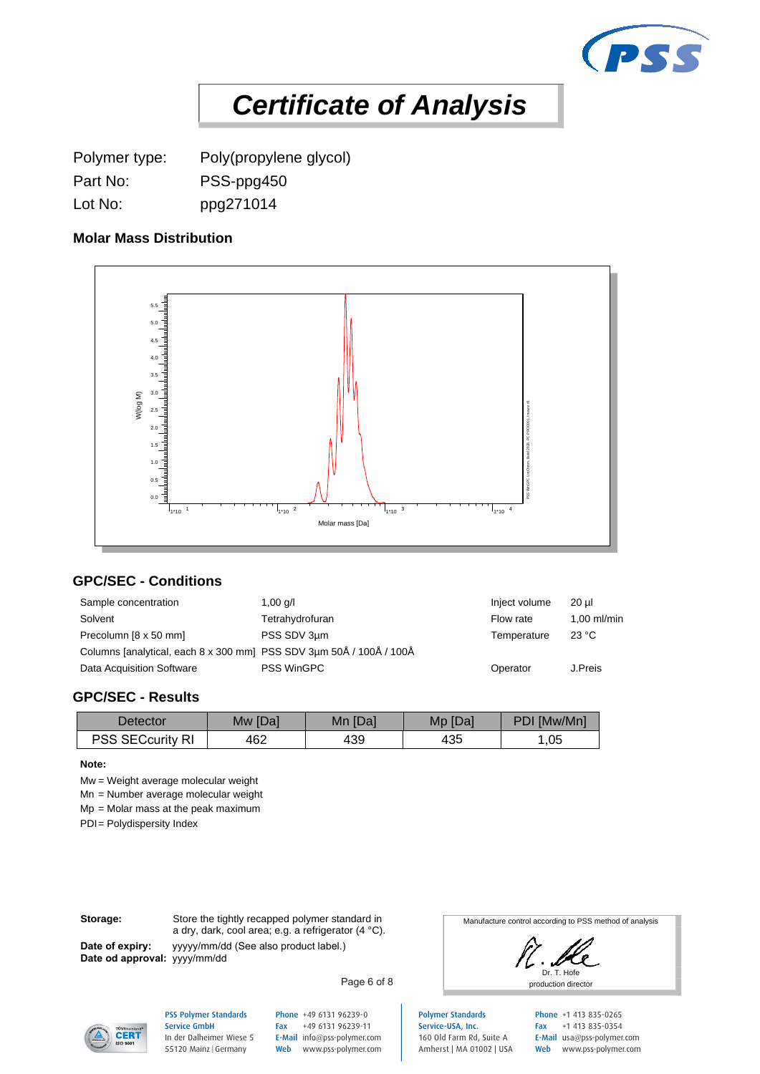

**Certificate of Analysis**<br>Polymer type: Poly(propylene glycol)<br>Part No: PSS-ppg450<br>Lot No: ppg271014<br>Molar Mass Distribution Lot No: ppg271014

#### **Molar Mass Distribution**



## **GPC/SEC - Conditions**

|                                                                                                                                                               |                 | Molar mass [Da] |         |           |               |  |
|---------------------------------------------------------------------------------------------------------------------------------------------------------------|-----------------|-----------------|---------|-----------|---------------|--|
| <b>GPC/SEC - Conditions</b>                                                                                                                                   |                 |                 |         |           |               |  |
| Sample concentration                                                                                                                                          | Inject volume   | $20 \mu$        |         |           |               |  |
| Solvent                                                                                                                                                       | Tetrahydrofuran |                 |         | Flow rate | $1,00$ ml/mir |  |
| Precolumn [8 x 50 mm]                                                                                                                                         | PSS SDV 3µm     |                 |         |           |               |  |
| Columns [analytical, each 8 x 300 mm] PSS SDV 3µm 50Å / 100Å / 100Å                                                                                           |                 |                 |         |           |               |  |
| Data Acquisition Software                                                                                                                                     | Operator        | J.Preis         |         |           |               |  |
| <b>GPC/SEC - Results</b><br><b>Detector</b>                                                                                                                   | Mw [Da]         | Mn [Da]         | Mp [Da] |           | PDI [Mw/Mn]   |  |
| PSS SECcurity RI                                                                                                                                              | 462             | 439             | 435     |           | 1,05          |  |
| Note:<br>$Mw = Weight average molecular weight$<br>Mn = Number average molecular weight<br>$Mp = Molar$ mass at the peak maximum<br>PDI= Polydispersity Index |                 |                 |         |           |               |  |

#### **GPC/SEC - Results**

| Detector                   | Mw [Da] | Mn [Da] | Mp [Da] | PDI [Mw/Mn] |
|----------------------------|---------|---------|---------|-------------|
| PSS SECcurity<br>ורח<br>NI | 462     | 439     | 435     | ,05         |

#### **Note:**

**Date of expiry:**

**Storage:** Store the tightly recapped polymer standard in a dry, dark, cool area; e.g. a refrigerator (4 °C). yyyyy/mm/dd (See also product label.) **Date od approval:** yyyy/mm/dd

Manufacture control according to PSS method of analysis

Dr. T. Hofe production director

Polymer Standards Service-USA, Inc. 160 Old Farm Rd, Suite A Amherst | MA 01002 | USA Phone +1 413 835-0265 Fax +1 413 835-0354 E-Mail usa@pss-polymer.com Web www.pss-polymer.com

**CERT** 

PSS Polymer Standards Service GmbH In der Dalheimer Wiese 5 55120 Mainz |Germany

Phone +49 6131 96239-0 Fax +49 6131 96239-11 E-Mail info@pss-polymer.com Web www.pss-polymer.com

Page 6 of 8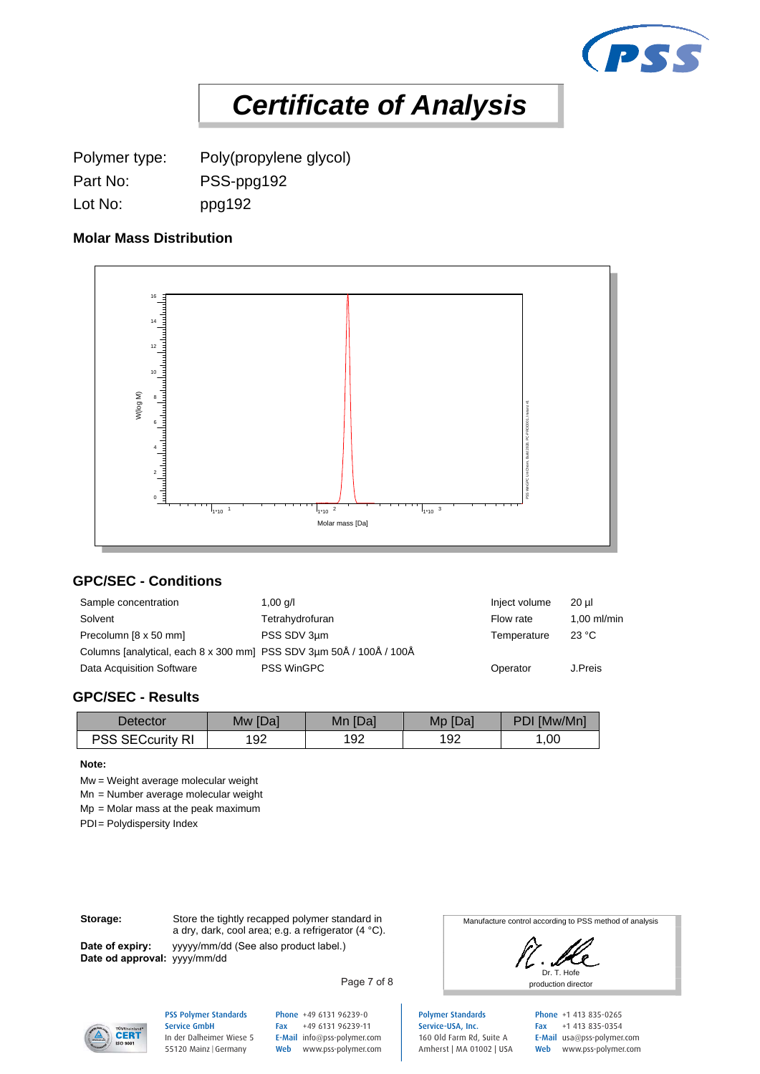

**Certificate of Analysis**<br>Polymer type: Poly(propylene glycol)<br>Part No: PSS-ppg192<br>Lot No: ppg192<br>Molar Mass Distribution Lot No: ppg192

## **Molar Mass Distribution**



## **GPC/SEC - Conditions**

| $\frac{1}{100}$ $\frac{1}{100}$ $\frac{1}{100}$ $\frac{1}{100}$                                                                                               |                   | $1*10^{-2}$<br>$\frac{1}{1+10}$ 3<br>Molar mass [Da] |         |             |  |  |
|---------------------------------------------------------------------------------------------------------------------------------------------------------------|-------------------|------------------------------------------------------|---------|-------------|--|--|
| <b>GPC/SEC - Conditions</b>                                                                                                                                   |                   |                                                      |         |             |  |  |
| Sample concentration                                                                                                                                          | Inject volume     | $20 \mu$                                             |         |             |  |  |
| Solvent                                                                                                                                                       | Tetrahydrofuran   |                                                      |         |             |  |  |
| Precolumn [8 x 50 mm]                                                                                                                                         | PSS SDV 3µm       |                                                      |         |             |  |  |
| Columns [analytical, each 8 x 300 mm] PSS SDV 3µm 50Å / 100Å / 100Å                                                                                           |                   |                                                      |         |             |  |  |
| Data Acquisition Software                                                                                                                                     | <b>PSS WinGPC</b> |                                                      |         |             |  |  |
| <b>GPC/SEC - Results</b><br><b>Detector</b>                                                                                                                   | Mw [Da]           | Mn [Da]                                              | Mp [Da] | PDI [Mw/Mn] |  |  |
| PSS SECcurity RI                                                                                                                                              | 192               | 192                                                  | 192     | 1,00        |  |  |
| Note:<br>$Mw = Weight average molecular weight$<br>Mn = Number average molecular weight<br>$Mp = Molar$ mass at the peak maximum<br>PDI= Polydispersity Index |                   |                                                      |         |             |  |  |

#### **GPC/SEC - Results**

| Detector                  | Mw [Da] | Mn [Da] | [Da]<br>Mp | PDI [Mw/Mn] |
|---------------------------|---------|---------|------------|-------------|
| PSS SECcurity<br>DI<br>NI | 192     | 192     | 192        | ,00         |

#### **Note:**

**Date of expiry:**

**Storage:** Store the tightly recapped polymer standard in a dry, dark, cool area; e.g. a refrigerator (4 °C). yyyyy/mm/dd (See also product label.) **Date od approval:** yyyy/mm/dd

Manufacture control according to PSS method of analysis

Dr. T. Hofe production director

Service-USA, Inc. 160 Old Farm Rd, Suite A Amherst | MA 01002 | USA Phone +1 413 835-0265 Fax +1 413 835-0354 E-Mail usa@pss-polymer.com Web www.pss-polymer.com



PSS Polymer Standards Service GmbH In der Dalheimer Wiese 5

55120 Mainz |Germany

Phone +49 6131 96239-0 Fax +49 6131 96239-11 E-Mail info@pss-polymer.com Web www.pss-polymer.com

Page 7 of 8

Polymer Standards